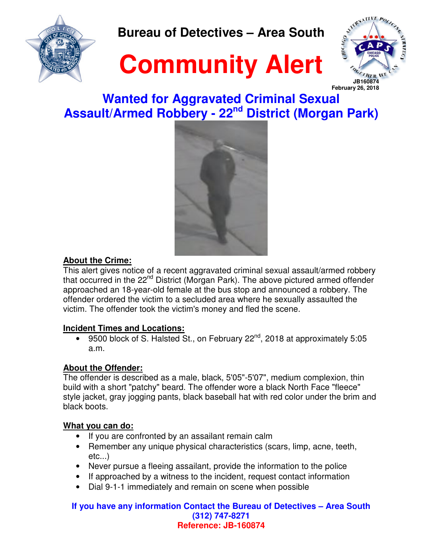

**Bureau of Detectives – Area South** 





## **Wanted for Aggravated Criminal Sexual Assault/Armed Robbery - 22nd District (Morgan Park)**



### **About the Crime:**

This alert gives notice of a recent aggravated criminal sexual assault/armed robbery that occurred in the 22<sup>nd</sup> District (Morgan Park). The above pictured armed offender approached an 18-year-old female at the bus stop and announced a robbery. The offender ordered the victim to a secluded area where he sexually assaulted the victim. The offender took the victim's money and fled the scene.

### **Incident Times and Locations:**

• 9500 block of S. Halsted St., on February  $22^{nd}$ , 2018 at approximately 5:05 a.m.

### **About the Offender:**

The offender is described as a male, black, 5'05"-5'07", medium complexion, thin build with a short "patchy" beard. The offender wore a black North Face "fleece" style jacket, gray jogging pants, black baseball hat with red color under the brim and black boots.

### **What you can do:**

- If you are confronted by an assailant remain calm
- Remember any unique physical characteristics (scars, limp, acne, teeth, etc...)
- Never pursue a fleeing assailant, provide the information to the police
- If approached by a witness to the incident, request contact information
- Dial 9-1-1 immediately and remain on scene when possible

#### **If you have any information Contact the Bureau of Detectives – Area South (312) 747-8271 Reference: JB-160874**